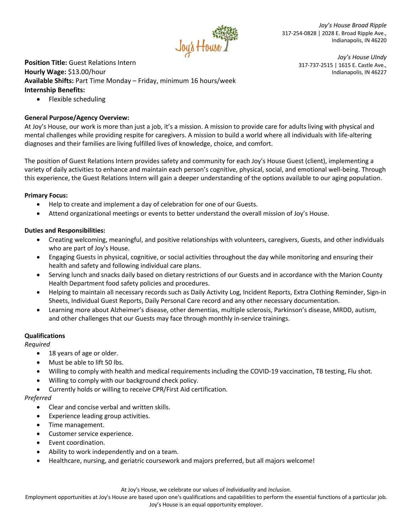

*Joy's House Broad Ripple* 317-254-0828 | 2028 E. Broad Ripple Ave., Indianapolis, IN 46220

317-737-2515 | 1615 E. Castle Ave.,

*Joy's House UIndy*

Indianapolis, IN 46227

**Position Title:** Guest Relations Intern

# **Hourly Wage:** \$13.00/hour

**Available Shifts:** Part Time Monday – Friday, minimum 16 hours/week **Internship Benefits:** 

• Flexible scheduling

# **General Purpose/Agency Overview:**

At Joy's House, our work is more than just a job, it's a mission. A mission to provide care for adults living with physical and mental challenges while providing respite for caregivers. A mission to build a world where all individuals with life-altering diagnoses and their families are living fulfilled lives of knowledge, choice, and comfort.

The position of Guest Relations Intern provides safety and community for each Joy's House Guest (client), implementing a variety of daily activities to enhance and maintain each person's cognitive, physical, social, and emotional well-being. Through this experience, the Guest Relations Intern will gain a deeper understanding of the options available to our aging population.

## **Primary Focus:**

- Help to create and implement a day of celebration for one of our Guests.
- Attend organizational meetings or events to better understand the overall mission of Joy's House.

## **Duties and Responsibilities:**

- Creating welcoming, meaningful, and positive relationships with volunteers, caregivers, Guests, and other individuals who are part of Joy's House.
- Engaging Guests in physical, cognitive, or social activities throughout the day while monitoring and ensuring their health and safety and following individual care plans.
- Serving lunch and snacks daily based on dietary restrictions of our Guests and in accordance with the Marion County Health Department food safety policies and procedures.
- Helping to maintain all necessary records such as Daily Activity Log, Incident Reports, Extra Clothing Reminder, Sign-in Sheets, Individual Guest Reports, Daily Personal Care record and any other necessary documentation.
- Learning more about Alzheimer's disease, other dementias, multiple sclerosis, Parkinson's disease, MRDD, autism, and other challenges that our Guests may face through monthly in-service trainings.

#### **Qualifications**

#### *Required*

- 18 years of age or older.
- Must be able to lift 50 lbs.
- Willing to comply with health and medical requirements including the COVID-19 vaccination, TB testing, Flu shot.
- Willing to comply with our background check policy.
- Currently holds or willing to receive CPR/First Aid certification.

#### *Preferred*

- Clear and concise verbal and written skills.
- Experience leading group activities.
- Time management.
- Customer service experience.
- Event coordination.
- Ability to work independently and on a team.
- Healthcare, nursing, and geriatric coursework and majors preferred, but all majors welcome!

At Joy's House, we celebrate our values of *Individuality* and *Inclusion*.

Employment opportunities at Joy's House are based upon one's qualifications and capabilities to perform the essential functions of a particular job. Joy's House is an equal opportunity employer.